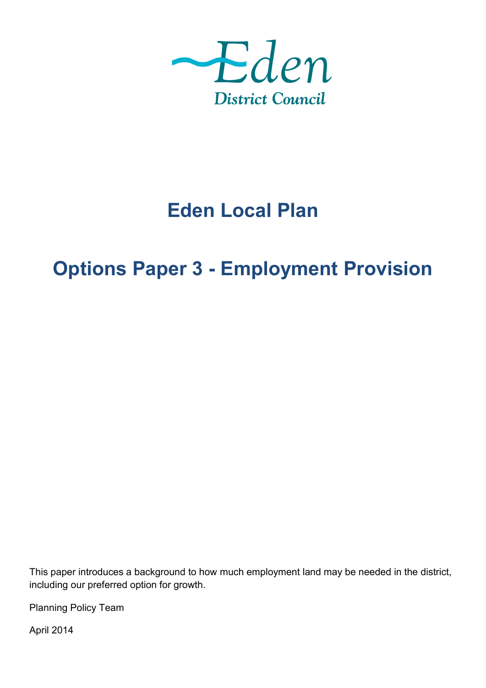

# **Eden Local Plan**

## **Options Paper 3 - Employment Provision**

This paper introduces a background to how much employment land may be needed in the district, including our preferred option for growth.

Planning Policy Team

April 2014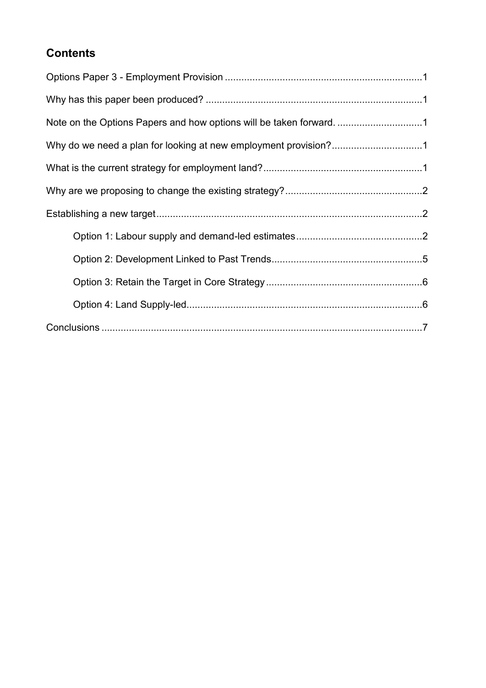## **Contents**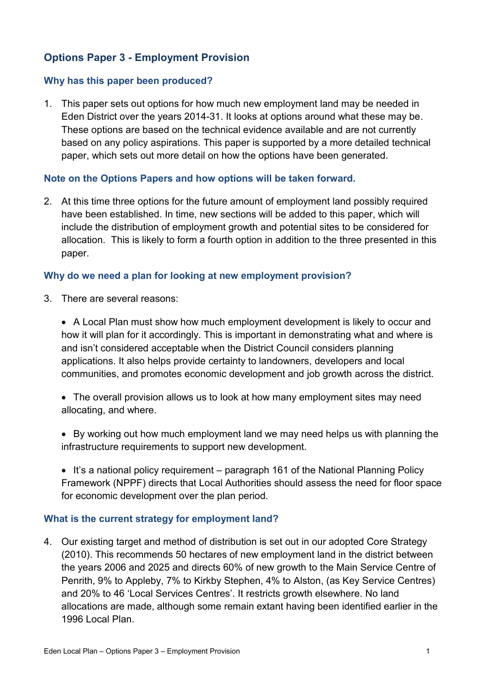## **Options Paper 3 - Employment Provision**

#### **Why has this paper been produced?**

1. This paper sets out options for how much new employment land may be needed in Eden District over the years 2014-31. It looks at options around what these may be. These options are based on the technical evidence available and are not currently based on any policy aspirations. This paper is supported by a more detailed technical paper, which sets out more detail on how the options have been generated.

#### **Note on the Options Papers and how options will be taken forward.**

2. At this time three options for the future amount of employment land possibly required have been established. In time, new sections will be added to this paper, which will include the distribution of employment growth and potential sites to be considered for allocation. This is likely to form a fourth option in addition to the three presented in this paper.

#### **Why do we need a plan for looking at new employment provision?**

3. There are several reasons:

 A Local Plan must show how much employment development is likely to occur and how it will plan for it accordingly. This is important in demonstrating what and where is and isn't considered acceptable when the District Council considers planning applications. It also helps provide certainty to landowners, developers and local communities, and promotes economic development and job growth across the district.

- The overall provision allows us to look at how many employment sites may need allocating, and where.
- By working out how much employment land we may need helps us with planning the infrastructure requirements to support new development.
- It's a national policy requirement paragraph 161 of the National Planning Policy Framework (NPPF) directs that Local Authorities should assess the need for floor space for economic development over the plan period.

#### **What is the current strategy for employment land?**

4. Our existing target and method of distribution is set out in our adopted Core Strategy (2010). This recommends 50 hectares of new employment land in the district between the years 2006 and 2025 and directs 60% of new growth to the Main Service Centre of Penrith, 9% to Appleby, 7% to Kirkby Stephen, 4% to Alston, (as Key Service Centres) and 20% to 46 'Local Services Centres'. It restricts growth elsewhere. No land allocations are made, although some remain extant having been identified earlier in the 1996 Local Plan.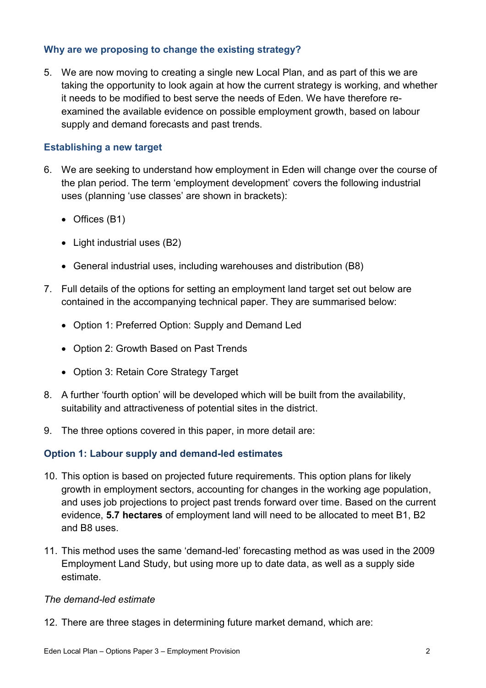#### **Why are we proposing to change the existing strategy?**

5. We are now moving to creating a single new Local Plan, and as part of this we are taking the opportunity to look again at how the current strategy is working, and whether it needs to be modified to best serve the needs of Eden. We have therefore reexamined the available evidence on possible employment growth, based on labour supply and demand forecasts and past trends.

#### **Establishing a new target**

- 6. We are seeking to understand how employment in Eden will change over the course of the plan period. The term 'employment development' covers the following industrial uses (planning 'use classes' are shown in brackets):
	- Offices (B1)
	- Light industrial uses (B2)
	- General industrial uses, including warehouses and distribution (B8)
- 7. Full details of the options for setting an employment land target set out below are contained in the accompanying technical paper. They are summarised below:
	- Option 1: Preferred Option: Supply and Demand Led
	- Option 2: Growth Based on Past Trends
	- Option 3: Retain Core Strategy Target
- 8. A further 'fourth option' will be developed which will be built from the availability, suitability and attractiveness of potential sites in the district.
- 9. The three options covered in this paper, in more detail are:

#### **Option 1: Labour supply and demand-led estimates**

- 10. This option is based on projected future requirements. This option plans for likely growth in employment sectors, accounting for changes in the working age population, and uses job projections to project past trends forward over time. Based on the current evidence, **5.7 hectares** of employment land will need to be allocated to meet B1, B2 and B8 uses.
- 11. This method uses the same 'demand-led' forecasting method as was used in the 2009 Employment Land Study, but using more up to date data, as well as a supply side estimate.

#### *The demand-led estimate*

12. There are three stages in determining future market demand, which are: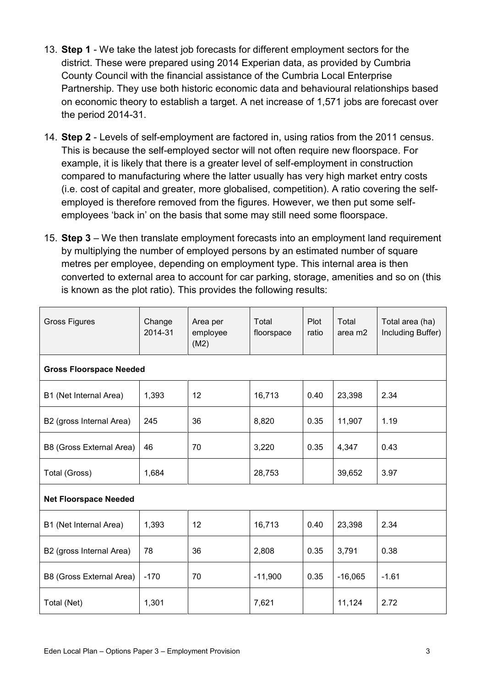- 13. **Step 1** We take the latest job forecasts for different employment sectors for the district. These were prepared using 2014 Experian data, as provided by Cumbria County Council with the financial assistance of the Cumbria Local Enterprise Partnership. They use both historic economic data and behavioural relationships based on economic theory to establish a target. A net increase of 1,571 jobs are forecast over the period 2014-31.
- 14. **Step 2** Levels of self-employment are factored in, using ratios from the 2011 census. This is because the self-employed sector will not often require new floorspace. For example, it is likely that there is a greater level of self-employment in construction compared to manufacturing where the latter usually has very high market entry costs (i.e. cost of capital and greater, more globalised, competition). A ratio covering the selfemployed is therefore removed from the figures. However, we then put some selfemployees 'back in' on the basis that some may still need some floorspace.
- 15. **Step 3** We then translate employment forecasts into an employment land requirement by multiplying the number of employed persons by an estimated number of square metres per employee, depending on employment type. This internal area is then converted to external area to account for car parking, storage, amenities and so on (this is known as the plot ratio). This provides the following results:

| <b>Gross Figures</b>           | Change<br>2014-31 | Area per<br>employee<br>(M2) | Total<br>floorspace | Plot<br>ratio | Total<br>area m2 | Total area (ha)<br>Including Buffer) |  |  |  |
|--------------------------------|-------------------|------------------------------|---------------------|---------------|------------------|--------------------------------------|--|--|--|
| <b>Gross Floorspace Needed</b> |                   |                              |                     |               |                  |                                      |  |  |  |
| B1 (Net Internal Area)         | 1,393             | 12                           | 16,713              | 0.40          | 23,398           | 2.34                                 |  |  |  |
| B2 (gross Internal Area)       | 245               | 36                           | 8,820               | 0.35          | 11,907           | 1.19                                 |  |  |  |
| B8 (Gross External Area)       | 46                | 70                           | 3,220               | 0.35          | 4,347            | 0.43                                 |  |  |  |
| Total (Gross)                  | 1,684             |                              | 28,753              |               | 39,652           | 3.97                                 |  |  |  |
| <b>Net Floorspace Needed</b>   |                   |                              |                     |               |                  |                                      |  |  |  |
| B1 (Net Internal Area)         | 1,393             | 12                           | 16,713              | 0.40          | 23,398           | 2.34                                 |  |  |  |
| B2 (gross Internal Area)       | 78                | 36                           | 2,808               | 0.35          | 3,791            | 0.38                                 |  |  |  |
| B8 (Gross External Area)       | $-170$            | 70                           | $-11,900$           | 0.35          | $-16,065$        | $-1.61$                              |  |  |  |
| Total (Net)                    | 1,301             |                              | 7,621               |               | 11,124           | 2.72                                 |  |  |  |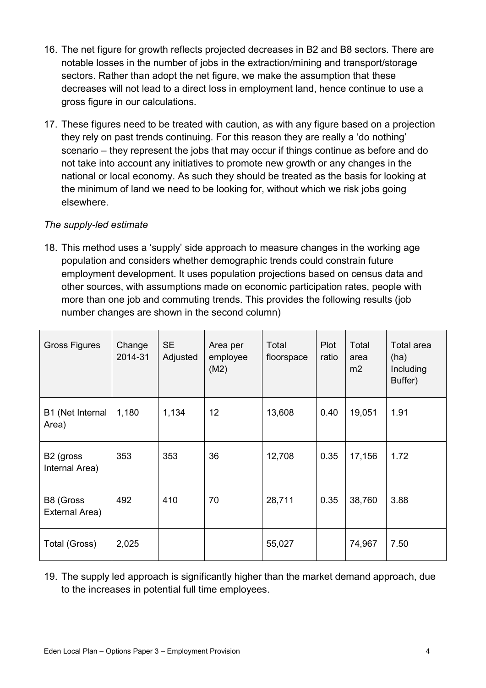- 16. The net figure for growth reflects projected decreases in B2 and B8 sectors. There are notable losses in the number of jobs in the extraction/mining and transport/storage sectors. Rather than adopt the net figure, we make the assumption that these decreases will not lead to a direct loss in employment land, hence continue to use a gross figure in our calculations.
- 17. These figures need to be treated with caution, as with any figure based on a projection they rely on past trends continuing. For this reason they are really a 'do nothing' scenario – they represent the jobs that may occur if things continue as before and do not take into account any initiatives to promote new growth or any changes in the national or local economy. As such they should be treated as the basis for looking at the minimum of land we need to be looking for, without which we risk jobs going elsewhere.

#### *The supply-led estimate*

18. This method uses a 'supply' side approach to measure changes in the working age population and considers whether demographic trends could constrain future employment development. It uses population projections based on census data and other sources, with assumptions made on economic participation rates, people with more than one job and commuting trends. This provides the following results (job number changes are shown in the second column)

| <b>Gross Figures</b>                    | Change<br>2014-31 | <b>SE</b><br>Adjusted | Area per<br>employee<br>(M2) | Total<br>floorspace | Plot<br>ratio | Total<br>area<br>m2 | Total area<br>(ha)<br>Including<br>Buffer) |
|-----------------------------------------|-------------------|-----------------------|------------------------------|---------------------|---------------|---------------------|--------------------------------------------|
| B1 (Net Internal<br>Area)               | 1,180             | 1,134                 | 12                           | 13,608              | 0.40          | 19,051              | 1.91                                       |
| B <sub>2</sub> (gross<br>Internal Area) | 353               | 353                   | 36                           | 12,708              | 0.35          | 17,156              | 1.72                                       |
| B8 (Gross<br>External Area)             | 492               | 410                   | 70                           | 28,711              | 0.35          | 38,760              | 3.88                                       |
| Total (Gross)                           | 2,025             |                       |                              | 55,027              |               | 74,967              | 7.50                                       |

19. The supply led approach is significantly higher than the market demand approach, due to the increases in potential full time employees.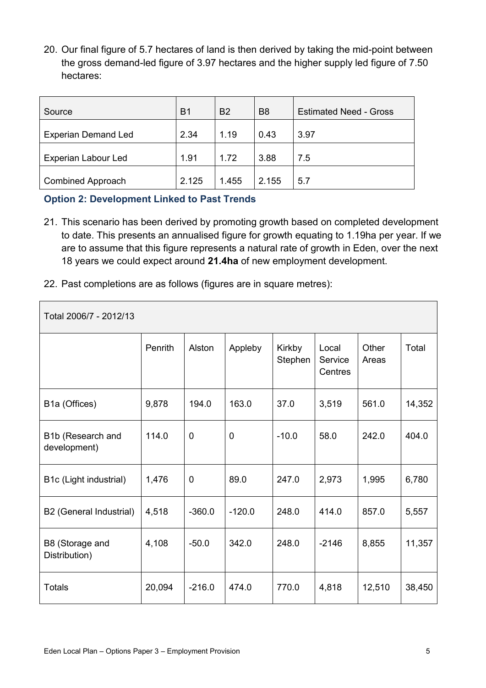20. Our final figure of 5.7 hectares of land is then derived by taking the mid-point between the gross demand-led figure of 3.97 hectares and the higher supply led figure of 7.50 hectares:

| Source                     | B1    | <b>B2</b> | B <sub>8</sub> | <b>Estimated Need - Gross</b> |
|----------------------------|-------|-----------|----------------|-------------------------------|
| <b>Experian Demand Led</b> | 2.34  | 1.19      | 0.43           | 3.97                          |
| Experian Labour Led        | 1.91  | 1.72      | 3.88           | 7.5                           |
| <b>Combined Approach</b>   | 2.125 | .455      | 2.155          | 5.7                           |

### **Option 2: Development Linked to Past Trends**

Г

- 21. This scenario has been derived by promoting growth based on completed development to date. This presents an annualised figure for growth equating to 1.19ha per year. If we are to assume that this figure represents a natural rate of growth in Eden, over the next 18 years we could expect around **21.4ha** of new employment development.
- 22. Past completions are as follows (figures are in square metres):

| Total 2006/7 - 2012/13            |         |             |             |                   |                             |                |        |  |
|-----------------------------------|---------|-------------|-------------|-------------------|-----------------------------|----------------|--------|--|
|                                   | Penrith | Alston      | Appleby     | Kirkby<br>Stephen | Local<br>Service<br>Centres | Other<br>Areas | Total  |  |
| B1a (Offices)                     | 9,878   | 194.0       | 163.0       | 37.0              | 3,519                       | 561.0          | 14,352 |  |
| B1b (Research and<br>development) | 114.0   | $\mathbf 0$ | $\mathbf 0$ | $-10.0$           | 58.0                        | 242.0          | 404.0  |  |
| B1c (Light industrial)            | 1,476   | $\mathbf 0$ | 89.0        | 247.0             | 2,973                       | 1,995          | 6,780  |  |
| B2 (General Industrial)           | 4,518   | $-360.0$    | $-120.0$    | 248.0             | 414.0                       | 857.0          | 5,557  |  |
| B8 (Storage and<br>Distribution)  | 4,108   | $-50.0$     | 342.0       | 248.0             | $-2146$                     | 8,855          | 11,357 |  |
| <b>Totals</b>                     | 20,094  | $-216.0$    | 474.0       | 770.0             | 4,818                       | 12,510         | 38,450 |  |

┑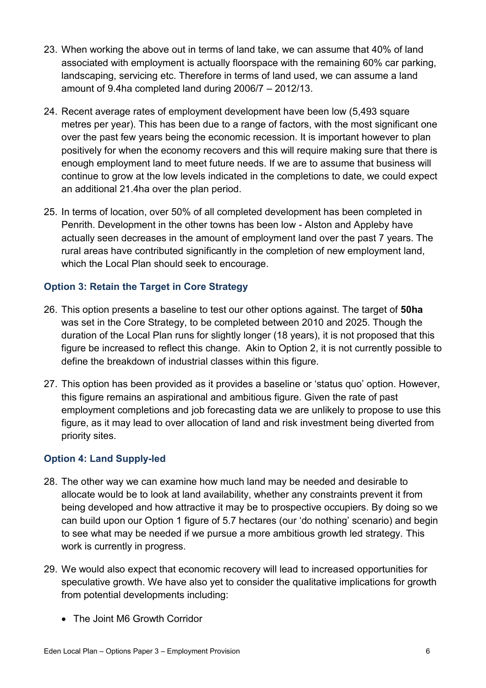- 23. When working the above out in terms of land take, we can assume that 40% of land associated with employment is actually floorspace with the remaining 60% car parking, landscaping, servicing etc. Therefore in terms of land used, we can assume a land amount of 9.4ha completed land during 2006/7 – 2012/13.
- 24. Recent average rates of employment development have been low (5,493 square metres per year). This has been due to a range of factors, with the most significant one over the past few years being the economic recession. It is important however to plan positively for when the economy recovers and this will require making sure that there is enough employment land to meet future needs. If we are to assume that business will continue to grow at the low levels indicated in the completions to date, we could expect an additional 21.4ha over the plan period.
- 25. In terms of location, over 50% of all completed development has been completed in Penrith. Development in the other towns has been low - Alston and Appleby have actually seen decreases in the amount of employment land over the past 7 years. The rural areas have contributed significantly in the completion of new employment land, which the Local Plan should seek to encourage.

### **Option 3: Retain the Target in Core Strategy**

- 26. This option presents a baseline to test our other options against. The target of **50ha**  was set in the Core Strategy, to be completed between 2010 and 2025. Though the duration of the Local Plan runs for slightly longer (18 years), it is not proposed that this figure be increased to reflect this change. Akin to Option 2, it is not currently possible to define the breakdown of industrial classes within this figure.
- 27. This option has been provided as it provides a baseline or 'status quo' option. However, this figure remains an aspirational and ambitious figure. Given the rate of past employment completions and job forecasting data we are unlikely to propose to use this figure, as it may lead to over allocation of land and risk investment being diverted from priority sites.

#### **Option 4: Land Supply-led**

- 28. The other way we can examine how much land may be needed and desirable to allocate would be to look at land availability, whether any constraints prevent it from being developed and how attractive it may be to prospective occupiers. By doing so we can build upon our Option 1 figure of 5.7 hectares (our 'do nothing' scenario) and begin to see what may be needed if we pursue a more ambitious growth led strategy. This work is currently in progress.
- 29. We would also expect that economic recovery will lead to increased opportunities for speculative growth. We have also yet to consider the qualitative implications for growth from potential developments including:
	- The Joint M6 Growth Corridor